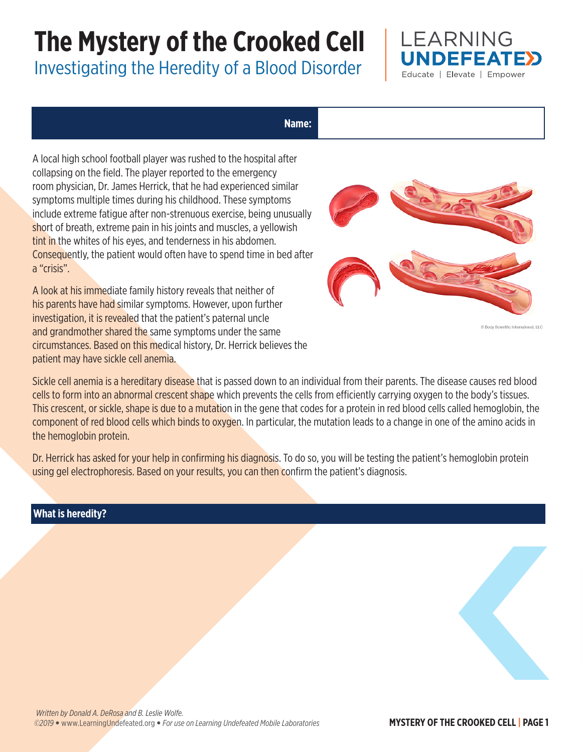# **The Mystery of the Crooked Cell**

Investigating the Heredity of a Blood Disorder



#### **Name:**

A local high school football player was rushed to the hospital after collapsing on the field. The player reported to the emergency room physician, Dr. James Herrick, that he had experienced similar symptoms multiple times during his childhood. These symptoms include extreme fatigue after non-strenuous exercise, being unusually short of breath, extreme pain in his joints and muscles, a yellowish tint in the whites of his eyes, and tenderness in his abdomen. Consequently, the patient would often have to spend time in bed after a "crisis".

A look at his immediate family history reveals that neither of his parents have had similar symptoms. However, upon further investigation, it is revealed that the patient's paternal uncle and grandmother shared the same symptoms under the same circumstances. Based on this medical history, Dr. Herrick believes the patient may have sickle cell anemia.



C Body Scientific International, LLC

Sickle cell anemia is a hereditary disease that is passed down to an individual from their parents. The disease causes red blood cells to form into an abnormal crescent shape which prevents the cells from efficiently carrying oxygen to the body's tissues. This crescent, or sickle, shape is due to a mutation in the gene that codes for a protein in red blood cells called hemoglobin, the component of red blood cells which binds to oxygen. In particular, the mutation leads to a change in one of the amino acids in the hemoglobin protein.

Dr. Herrick has asked for your help in confirming his diagnosis. To do so, you will be testing the patient's hemoglobin protein using gel electrophoresis. Based on your results, you can then confirm the patient's diagnosis.

## **What is heredity?**

*©2019* • www.LearningUndefeated.org • *For use on Learning Undefeated Mobile Laboratories* **MYSTERY OF THE CROOKED CELL | PAGE 1**  *Written by Donald A. DeRosa and B. Leslie Wolfe.*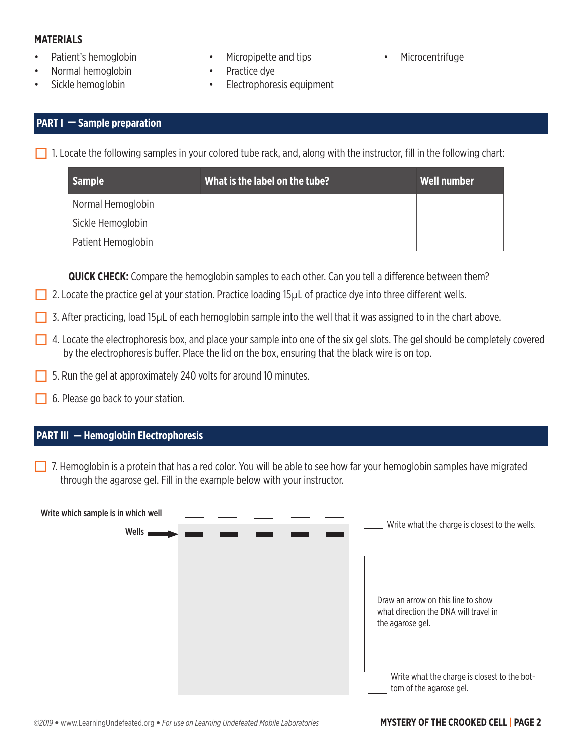#### **MATERIALS**

- Patient's hemoglobin
- Normal hemoglobin
- Sickle hemoglobin
- Micropipette and tips
- Practice dye
- Electrophoresis equipment
- Microcentrifuge

#### **PART I — Sample preparation**

1. Locate the following samples in your colored tube rack, and, along with the instructor, fill in the following chart:

| <b>Sample</b>      | What is the label on the tube? | Well number |
|--------------------|--------------------------------|-------------|
| Normal Hemoglobin  |                                |             |
| Sickle Hemoglobin  |                                |             |
| Patient Hemoglobin |                                |             |

**QUICK CHECK:** Compare the hemoglobin samples to each other. Can you tell a difference between them?

- 2. Locate the practice gel at your station. Practice loading 15µL of practice dye into three different wells.
- 3. After practicing, load 15 $\mu$ L of each hemoglobin sample into the well that it was assigned to in the chart above.
- $\Box$  4. Locate the electrophoresis box, and place your sample into one of the six gel slots. The gel should be completely covered by the electrophoresis buffer. Place the lid on the box, ensuring that the black wire is on top.
- 5. Run the gel at approximately 240 volts for around 10 minutes.
- 6. Please go back to your station.

## **PART III — Hemoglobin Electrophoresis**

 $\Box$  7. Hemoglobin is a protein that has a red color. You will be able to see how far your hemoglobin samples have migrated through the agarose gel. Fill in the example below with your instructor.

| Write which sample is in which well |  |                                                                                                                                                                            |
|-------------------------------------|--|----------------------------------------------------------------------------------------------------------------------------------------------------------------------------|
| Wells,                              |  | Write what the charge is closest to the wells.                                                                                                                             |
|                                     |  |                                                                                                                                                                            |
|                                     |  | Draw an arrow on this line to show<br>what direction the DNA will travel in<br>the agarose gel.<br>Write what the charge is closest to the bot-<br>tom of the agarose gel. |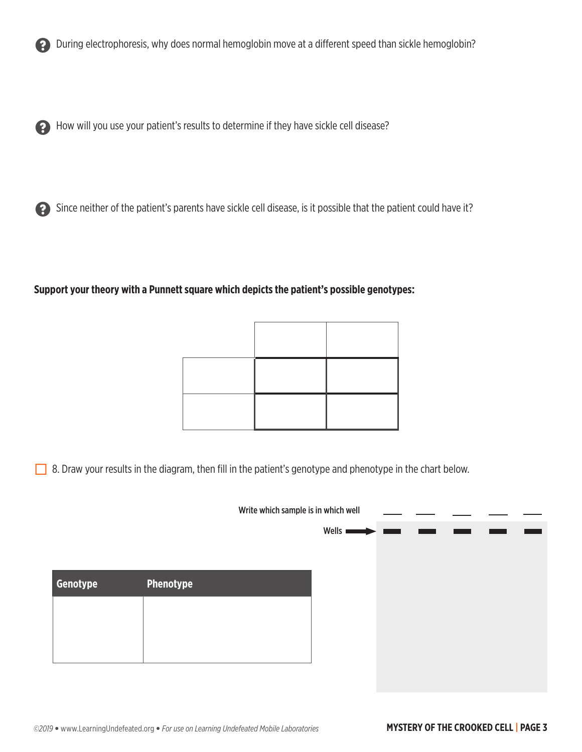

? During electrophoresis, why does normal hemoglobin move at a different speed than sickle hemoglobin?

? How will you use your patient's results to determine if they have sickle cell disease?



#### **Support your theory with a Punnett square which depicts the patient's possible genotypes:**

8. Draw your results in the diagram, then fill in the patient's genotype and phenotype in the chart below.

|          | Write which sample is in which well |  |                      |  |  |  |
|----------|-------------------------------------|--|----------------------|--|--|--|
|          |                                     |  | Wells $\blacksquare$ |  |  |  |
|          |                                     |  |                      |  |  |  |
|          |                                     |  |                      |  |  |  |
| Genotype | <b>Phenotype</b>                    |  |                      |  |  |  |
|          |                                     |  |                      |  |  |  |
|          |                                     |  |                      |  |  |  |
|          |                                     |  |                      |  |  |  |
|          |                                     |  |                      |  |  |  |
|          |                                     |  |                      |  |  |  |